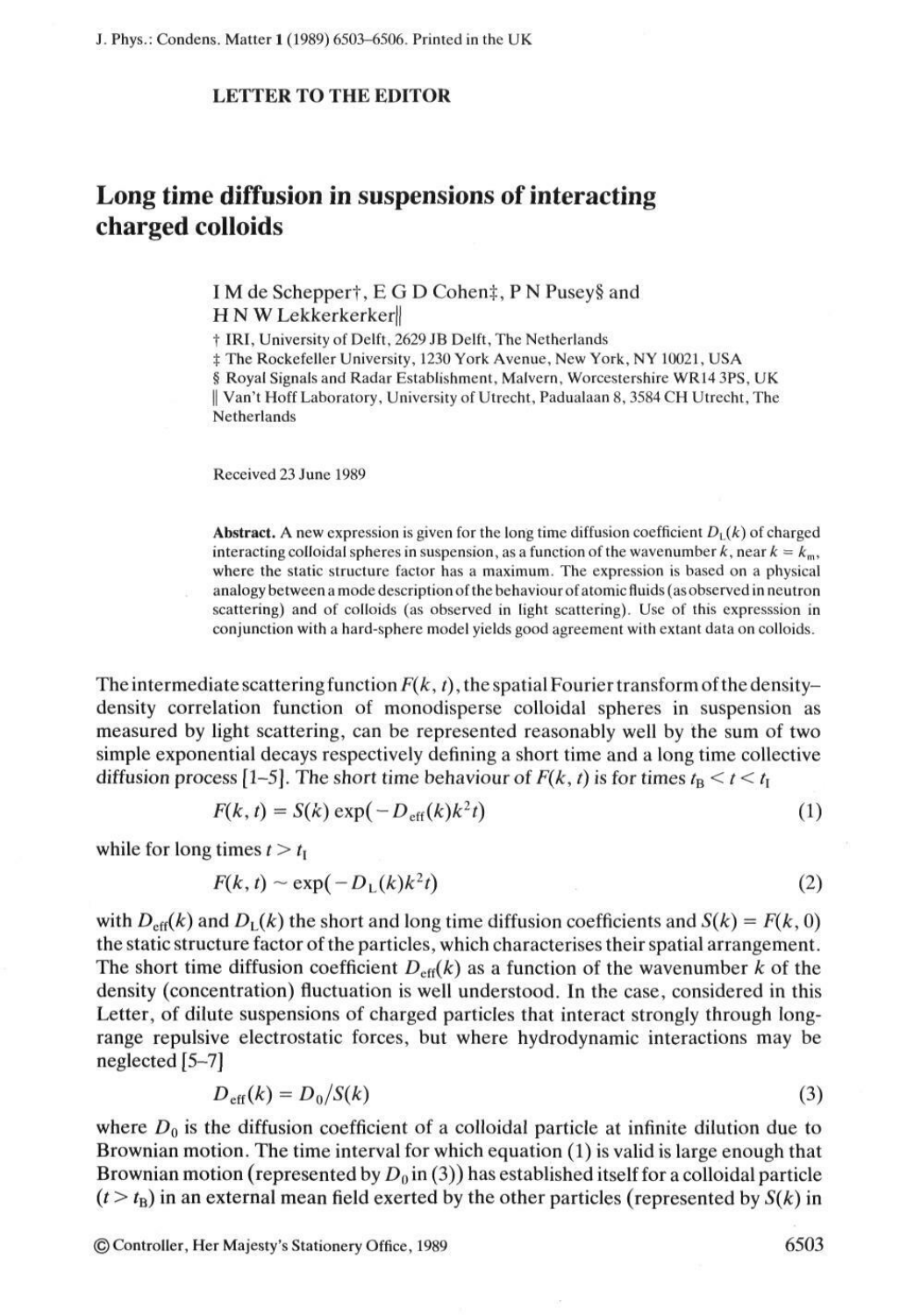## **LETTER TO THE EDITOR**

## **Long time diffusion in suspensions of interacting charged colloids**

I M de Scheppert, E G D Cohen‡, P N Pusey§ and H N W Lekkerkerker

t IRI, University of Delft, 2629 JB Delft, The Netherlands

t The Rockefeller University, 1230 York Avenue, New York, NY 10021, USA

§ Royal Signals and Radar Establishment, Malvern, Worcestershire WR14 3PS, UK

|| Van't Hoff Laboratory, University of Utrecht, Padualaan 8, 3584 CH Utrecht, The Netherlands

Received 23 June 1989

**Abstract.** A new expression is given for the long time diffusion coefficient  $D<sub>L</sub>(k)$  of charged interacting colloidal spheres in suspension, as a function of the wavenumber k, near  $k = k_m$ , where the static structure factor has a maximum. The expression is based on a physical analogy between a mode description of the behaviour of atomic fluids (as observed in neutron scattering) and of colloids (as observed in light scattering). Use of this expresssion in conjunction with a hard-sphere model yields good agreement with extant data on colloids.

The intermediate scattering function  $F(k, t)$ , the spatial Fourier transform of the densitydensity correlation function of monodisperse colloidal spheres in suspension as measured by light scattering, can be represented reasonably well by the sum of two simple exponential decays respectively defining a short time and a long time collective diffusion process [1-5]. The short time behaviour of  $F(k, t)$  is for times  $t_{\text{B}} < t < t_{\text{I}}$ 

$$
F(k, t) = S(k) \exp(-D_{\text{eff}}(k)k^2t) \tag{1}
$$

while for long times  $t > t<sub>I</sub>$ 

$$
F(k,t) \sim \exp(-D_L(k)k^2t) \tag{2}
$$

with  $D_{\text{eff}}(k)$  and  $D_{\text{L}}(k)$  the short and long time diffusion coefficients and  $S(k) = F(k, 0)$ the static structure factor of the particles , which characterises their spatial arrangement . The short time diffusion coefficient  $D_{\text{eff}}(k)$  as a function of the wavenumber k of the density (concentration) fluctuation is well understood. In the case, considered in this Letter, of dilute suspensions of charged particles that interact strongly through longrange repulsive electrostatic forces, but where hydrodynamic interactions may be neglected [5-7]

$$
D_{\rm eff}(k) = D_0/S(k) \tag{3}
$$

where  $D_0$  is the diffusion coefficient of a colloidal particle at infinite dilution due to Brownian motion. The time interval for which equation (1) is valid is large enough that Brownian motion (represented by  $D_0$  in (3)) has established itself for a colloidal particle  $(t > t<sub>B</sub>)$  in an external mean field exerted by the other particles (represented by  $S(k)$  in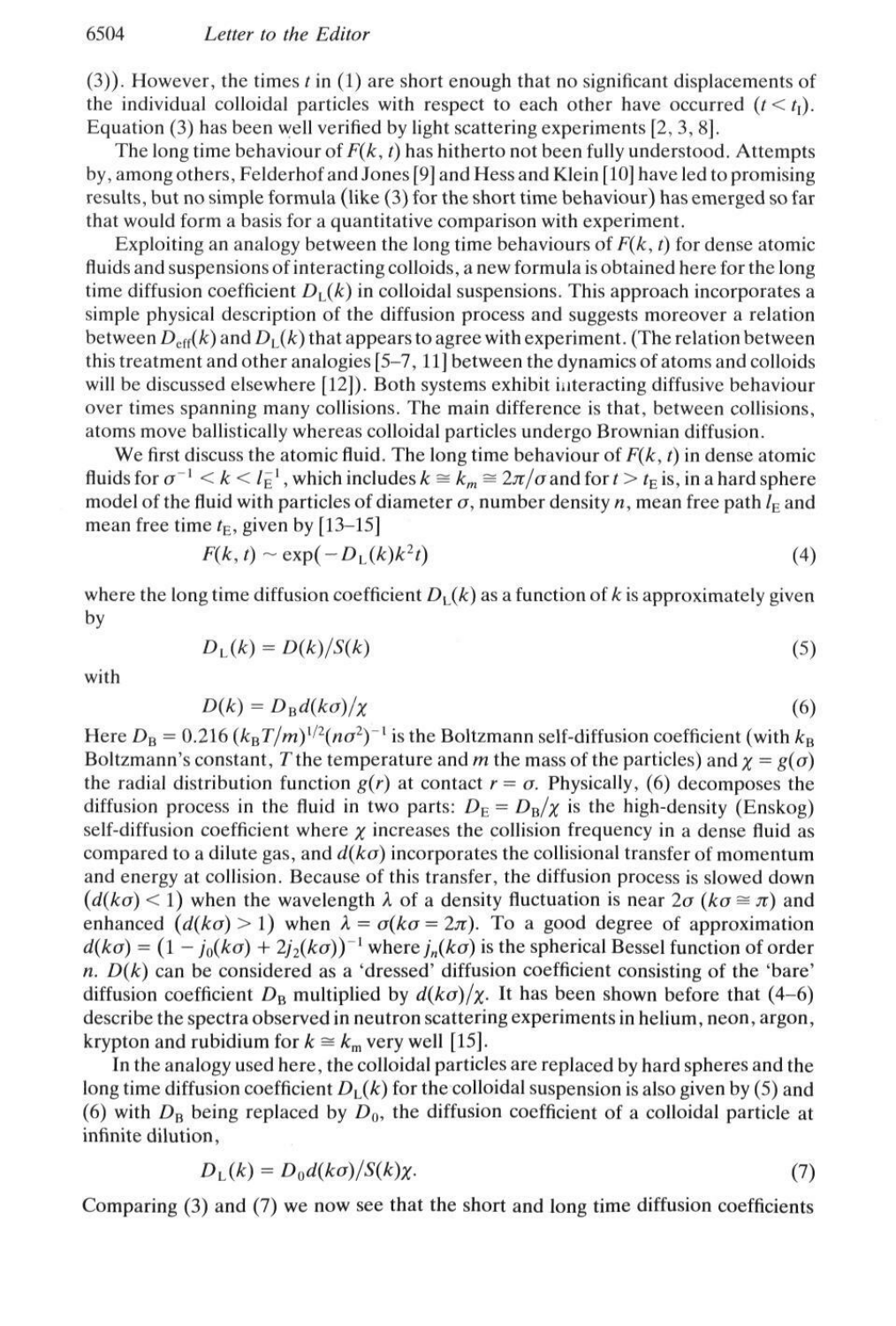$(3)$ ). However, the times *t* in  $(1)$  are short enough that no significant displacements of the individual colloidal particles with respect to each other have occurred  $(t < t<sub>1</sub>)$ . Equation (3) has been well verified by light scattering experiments [2, 3, 8].

The long time behaviour of  $F(k, t)$  has hitherto not been fully understood. Attempts by, among others, Felderhof and Jones [9] and Hess and Klein [10] have led to promising results, but no simple formula (like (3) for the short time behaviour) has emerged so far that would form a basis for a quantitative comparison with experiment.

Exploiting an analogy between the long time behaviours of  $F(k, t)$  for dense atomic fluids and suspensions of interacting colloids, a new formula is obtained here for the long time diffusion coefficient  $D<sub>L</sub>(k)$  in colloidal suspensions. This approach incorporates a simple physical description of the diffusion process and suggests moreover a relation between  $D_{\text{eff}}(k)$  and  $D_{\text{L}}(k)$  that appears to agree with experiment. (The relation between this treatment and other analogies  $[5-7, 11]$  between the dynamics of atoms and colloids will be discussed elsewhere [12]). Both systems exhibit interacting diffusive behaviour over times spanning many collisions. The main difference is that, between collisions, atoms move ballistically whereas colloidal particles undergo Brownian diffusion.

We first discuss the atomic fluid. The long time behaviour of  $F(k, t)$  in dense atomic fluids for  $\sigma^{-1} < k < l_E^{-1}$ , which includes  $k \approx k_m \approx 2\pi/\sigma$  and for  $t > t_E$  is, in a hard sphere model of the fluid with particles of diameter  $\sigma$ , number density n, mean free path  $l_{\rm E}$  and mean free time  $t_E$ , given by [13–15]

$$
F(k, t) \sim \exp(-D_L(k)k^2t) \tag{4}
$$

where the long time diffusion coefficient  $D<sub>L</sub>(k)$  as a function of k is approximately given by

$$
D_{\rm L}(k) = D(k)/S(k) \tag{5}
$$

with

$$
D(k) = D_{\rm B} d(k\sigma)/\chi \tag{6}
$$

Here  $D_{\rm B} = 0.216 (k_{\rm B}T/m)^{1/2}(n\sigma^2)^{-1}$  is the Boltzmann self-diffusion coefficient (with  $k_{\rm B}$ Boltzmann's constant, T the temperature and m the mass of the particles) and  $\chi = g(\sigma)$ the radial distribution function  $g(r)$  at contact  $r = \sigma$ . Physically, (6) decomposes the diffusion process in the fluid in two parts:  $D_E = D_B/\chi$  is the high-density (Enskog) self-diffusion coefficient where  $\chi$  increases the collision frequency in a dense fluid as compared to a dilute gas, and  $d(k\sigma)$  incorporates the collisional transfer of momentum and energy at collision. Because of this transfer, the diffusion process is slowed down  $(d(k\sigma) < 1)$  when the wavelength  $\lambda$  of a density fluctuation is near  $2\sigma (k\sigma \approx \pi)$  and enhanced  $(d(k\sigma) > 1)$  when  $\lambda = \sigma(k\sigma = 2\pi)$ . To a good degree of approximation  $d(k\sigma) = (1 - j_0(k\sigma) + 2j_2(k\sigma))^{-1}$  where  $j_n(k\sigma)$  is the spherical Bessel function of order *n.*  $D(k)$  can be considered as a 'dressed' diffusion coefficient consisting of the 'bare' diffusion coefficient  $D_B$  multiplied by  $d(k\sigma)/\chi$ . It has been shown before that (4–6) describe the spectra observed in neutron scattering experiments in helium, neon, argon, krypton and rubidium for  $k \approx k_m$  very well [15].

In the analogy used here, the colloidal particles are replaced by hard spheres and the long time diffusion coefficient  $D<sub>L</sub>(k)$  for the colloidal suspension is also given by (5) and (6) with  $D_B$  being replaced by  $D_0$ , the diffusion coefficient of a colloidal particle at infinite dilution,

$$
D_{\rm L}(k) = D_0 d(k\sigma) / S(k)\chi. \tag{7}
$$

Comparing (3) and (7) we now see that the short and long time diffusion coefficients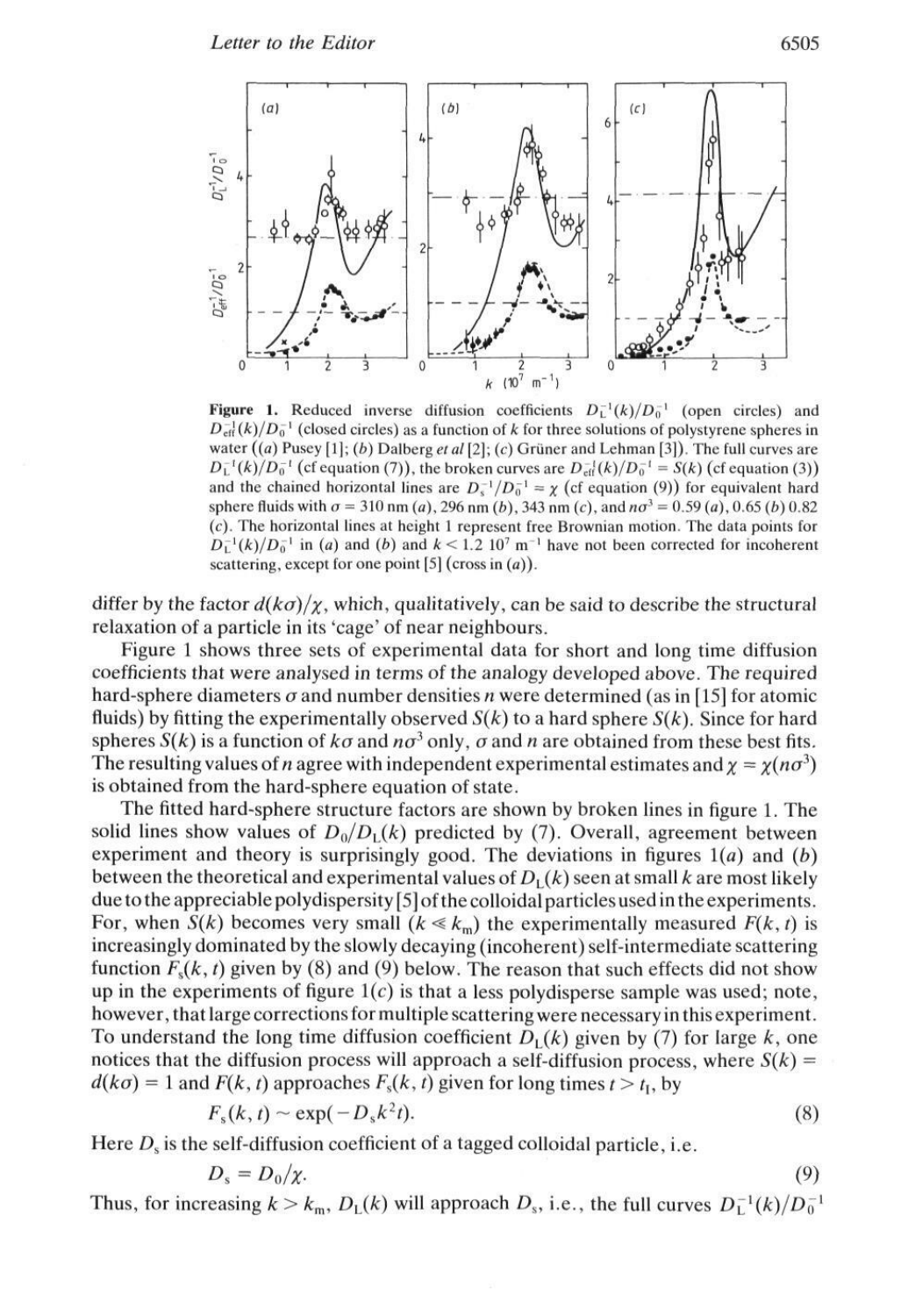

**Figure 1.** Reduced inverse diffusion coefficients  $D_{\text{L}}^{-1}(k)/D_0^{-1}$  (open circles) and  $D_{\text{eff}}^{-1}(k)/D_0^{-1}$  (closed circles) as a function of k for three solutions of polystyrene spheres in water  $((a)$  Pusey  $[1]$ ;  $(b)$  Dalberg et al  $[2]$ ;  $(c)$  Grüner and Lehman  $[3]$ ). The full curves are  $D_{\text{L}}^{-1}(k)/D_{0}^{-1}$  (cf equation (7)), the broken curves are  $D_{\text{eff}}^{-1}(k)/D_{0}^{-1} = S(k)$  (cf equation (3)) and the chained horizontal lines are  $D_s^{-1}/D_0^{-1} = \chi$  (cf equation (9)) for equivalent hard sphere fluids with  $\sigma = 310$  nm (a), 296 nm (b), 343 nm (c), and  $n\sigma^3 = 0.59$  (a), 0.65 (b) 0.82 (c). The horizontal lines at height 1 represent free Brownian motion. The data points for  $D_{\textrm{L}}^{-1}(k)/D_0^{-1}$  in (a) and (b) and  $k < 1.2$  10<sup>7</sup> m<sup>-1</sup> have not been corrected for incoherent scattering, except for one point  $[5]$  (cross in  $(a)$ ).

differ by the factor  $d(k\sigma)/\chi$ , which, qualitatively, can be said to describe the structural relaxation of a particle in its 'cage' of near neighbours.

Figure 1 shows three sets of experimental data for short and long time diffusion coefficients that were analysed in terms of the analogy developed above. The required hard-sphere diameters *o* and number densities *n* were determined (as in [15] for atomic fluids) by fitting the experimentally observed  $S(k)$  to a hard sphere  $S(k)$ . Since for hard spheres  $S(k)$  is a function of  $k\sigma$  and  $n\sigma^3$  only,  $\sigma$  and  $n$  are obtained from these best fits. The resulting values of *n* agree with independent experimental estimates and  $\chi = \chi(n\sigma^3)$ is obtained from the hard-sphere equation of state.

The fitted hard-sphere structure factors are shown by broken lines in figure 1. The solid lines show values of  $D_0/D_1(k)$  predicted by (7). Overall, agreement between experiment and theory is surprisingly good. The deviations in figures l(a) and *(b)* between the theoretical and experimental values of  $D<sub>L</sub>(k)$  seen at small k are most likely due to the appreciable polydispersity [5] of the colloidal particles used in the experiments . For, when  $S(k)$  becomes very small  $(k \ll k_m)$  the experimentally measured  $F(k, t)$  is increasingly dominated by the slowly decaying (incoherent) self-intermediate scattering function  $F<sub>s</sub>(k, t)$  given by (8) and (9) below. The reason that such effects did not show up in the experiments of figure  $1(c)$  is that a less polydisperse sample was used; note, however, that large corrections for multiple scattering were necessary in this experiment . To understand the long time diffusion coefficient  $D<sub>L</sub>(k)$  given by (7) for large k, one notices that the diffusion process will approach a self-diffusion process, where  $S(k)$  =  $d(k\sigma) = 1$  and  $F(k, t)$  approaches  $F_s(k, t)$  given for long times  $t > t<sub>l</sub>$ , by

$$
F_{\rm s}(k,t) \sim \exp(-D_{\rm s}k^2t). \tag{8}
$$

Here  $D_s$  is the self-diffusion coefficient of a tagged colloidal particle, i.e.

$$
D_s = D_0/\chi. \tag{9}
$$

Thus, for increasing  $k > k_m$ ,  $D_L(k)$  will approach  $D_s$ , i.e., the full curves